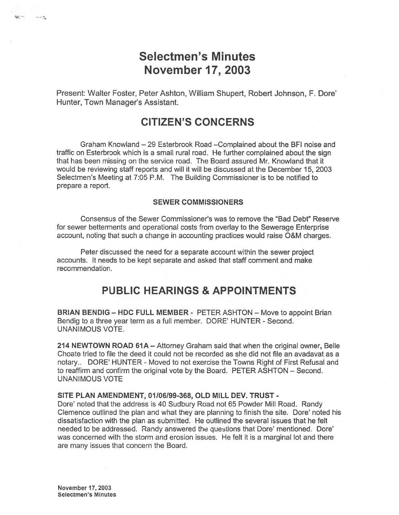# Selectmen's Minutes November 17, 2003

Present: Walter Foster, Peter Ashton, William Shupert, Robert Johnson, F. Dote' Hunter, Town Manager's Assistant.

## CITIZEN'S CONCERNS

Graham Knowland — 29 Esterbrook Road —Complained about the BFI noise and traffic on Esterbrook which is <sup>a</sup> small rural toad. He further complained about the sign that has been missing on the service road. The Board assured Mr. Knowland that it would be reviewing staff reports and will it will be discussed at the December 15, 2003 Selectmen's Meeting at 7:05 P.M. The Building Commissioner is to be notified to prepare <sup>a</sup> report.

#### SEWER COMMISSIONERS

Consensus of the Sewer Commissioner's was to remove the "Bad Debt" Reserve for sewer betterments and operational costs from overlay to the Sewerage Enterprise account, noting that such <sup>a</sup> change in accounting practices would raise O&M charges.

Peter discussed the need for <sup>a</sup> separate account within the sewer project accounts, It needs to be kept separate and asked that staff comment and make recommendation.

## PUBLIC HEARINGS & APPOINTMENTS

BRIAN BENDIG — HDC FULL MEMBER - PETER ASHTON — Move to appoint Brian Bendig to a three year term as a full member. DORE' HUNTER - Second. UNANIMOUS VOTE.

214 NEWTOWN ROAD 61A — Attorney Graham said that when the original owner, Belle Choate tried to file the deed it could not be recorded as she did not file an avadavat as <sup>a</sup> notary.. DORE' HUNTER - Moved to not exercise the Towns Right of First Refusal and to reaffirm and confirm the original vote by the Board. PETER ASHTON — Second. UNANIMOUS VOTE

#### SITE PLAN AMENDMENT, 01106199-368, OLD MILL 0EV. TRUST -

Dote' noted that the address is 40 Sudbury Road not 65 Powder Mill Road. Randy Clemence outlined the plan and what they are planning to finish the site. Dore' noted his dissatisfaction with the plan as submitted. He outlined the several issues that he felt needed to be addressed. Randy answered the questions that Dore' mentioned. Dore' was concerned with the storm and erosion issues. He felt it is <sup>a</sup> marginal lot and there are many issues that concern the Board.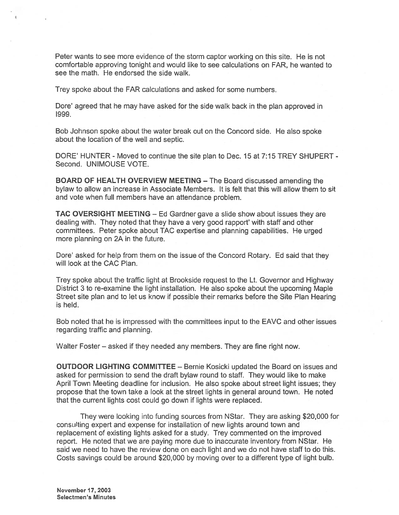Peter wants to see more evidence of the storm captor working on this site. He is not comfortable approving tonight and would like to see calculations on FAR, he wanted to see the math. He endorsed the side walk.

Trey spoke about the FAR calculations and asked for some numbers.

Dore' agreed that he may have asked for the side walk back in the plan approved in 1999.

Bob Johnson spoke about the water break out on the Concord side. He also spoke about the location of the well and septic.

DORE' HUNTER - Moved to continue the site plan to Dec. 15 at 7:15 TREY SHUPERT - Second. UNIMOUSE VOTE.

BOARD OF HEALTH OVERVIEW MEETING — The Board discussed amending the bylaw to allow an increase in Associate Members. It is felt that this will allow them to sit and vote when full members have an attendance problem.

TAC OVERSIGHT MEETING — Ed Gardner gave <sup>a</sup> slide show about issues they are dealing with. They noted that they have <sup>a</sup> very good rapport' with staff and other committees. Peter spoke about TAC expertise and planning capabilities. He urged more planning on 2A in the future.

Dore' asked for help from them on the issue of the Concord Rotary. Ed said that they will look at the CAC Plan.

Trey spoke about the traffic light at Brookside reques<sup>t</sup> to the Lt. Governor and Highway District 3 to re-examine the light installation. He also spoke about the upcoming Maple Street site plan and to let us know if possible their remarks before the Site Plan Hearing is held.

Bob noted that he is impressed with the committees input to the EAVC and other issues regarding traffic and planning.

Walter Foster — asked if they needed any members. They are fine right now.

OUTDOOR LIGHTING COMMITTEE — Bernie Kosicki updated the Board on issues and asked for permission to send the draft bylaw round to staff. They would like to make April Town Meeting deadline for inclusion. He also spoke about street light issues; they propose that the town take a look at the street lights in general around town. He noted that the current lights cost could go down if lights were replaced.

They were looking into funding sources from NStar. They are asking \$20,000 for consulting exper<sup>t</sup> and expense for installation of new lights around town and replacement of existing lights asked for <sup>a</sup> study. Trey commented on the improved report. He noted that we are paying more due to inaccurate inventory from NStar. He said we need to have the review done on each light and we do not have staff to do this. Costs savings could be around \$20,000 by moving over to <sup>a</sup> different type of light bulb.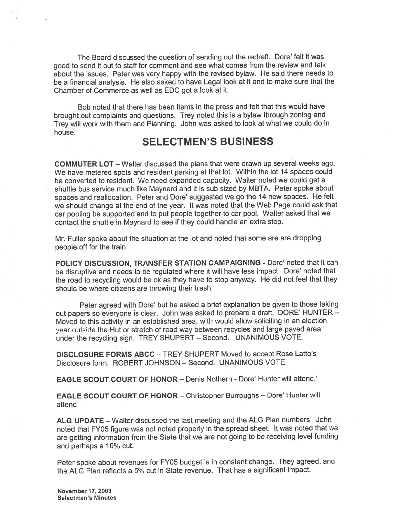The Board discussed the question of sending out the redraft. Dore' felt it was goo<sup>d</sup> to send it out to staff for comment and see what comes from the review and talk about the issues. Peter was very happy with the revised bylaw. He said there needs to be <sup>a</sup> financial analysis. He also asked to have Legal look at it and to make sure that the Chamber of Commerce as well as EDC go<sup>t</sup> <sup>a</sup> look at it.

Bob noted that there has been items in the press and felt that this would have brought out complaints and questions. Trey noted this is <sup>a</sup> bylaw through zoning and Trey will work with them and Planning. John was asked to look at what we could do in house.

### SELECTMEN'S BUSINESS

COMMUTER LOT — Walter discussed the plans that were drawn up several weeks ago. We have metered spots and resident parking at that lot. Within the lot <sup>14</sup> spaces could be converted to resident. We need expanded capacity. Walter noted we could ge<sup>t</sup> <sup>a</sup> shuttle bus service much like Maynard and it is sub sized by MBTA. Peter spoke about spaces and reallocation. Peter and Dore' suggested we go the 14 new spaces. He felt we should change at the end of the year. It was noted that the Web Page could ask that cat pooling be supported and to pu<sup>t</sup> people together to car pool. Walter asked that we contact the shuttle in Maynard to see if they could handle an extra stop.

Mr. Fuller spoke about the situation at the lot and noted that some are are dropping people off for the train.

POLICY DISCUSSION, TRANSFER STATION CAMPAIGNING - Dore' noted that it can be disruptive and needs to be regulated where it will have less impact. Dore' noted that the toad to recycling would be ok as they have to stop anyway. He did not feel that they should be where citizens are throwing their trash.

Peter agreed with Dore' but he asked a brief explanation be given to those taking out papers so everyone is clear. John was asked to prepare <sup>a</sup> draft. DORE' HUNTER — Moved to this activity in an established area, with would allow soliciting in an election year outside the Hut or stretch of road way between recycles and large paved area under the recycling sign. TREY SHUPERT — Second. UNANIMOUS VOTE.

DISCLOSURE FORMS ABCC — TREY SHUPERT Moved to accep<sup>t</sup> Rose Latto's Disclosure form. ROBERT JOHNSON — Second. UNANIMOUS VOTE

EAGLE SCOUT COURT OF HONOR — Denis Nothern - Dote' Hunter will attend.'

EAGLE SCOUT COURT OF HONOR — Christopher Burroughs — Dote' Hunter will attend

ALG UPDATE — Walter discussed the last meeting and the ALG Plan numbers. John noted that FY05 figure was not noted properly in the spread sheet. It was noted that we are getting information from the State that we are not going to be receiving level funding and perhaps <sup>a</sup> 10% cut.

Peter spoke about revenues for FY05 budget is in constant change. They agreed, and the ALG Plan reflects <sup>a</sup> 5% cut in State revenue. That has <sup>a</sup> significant impact.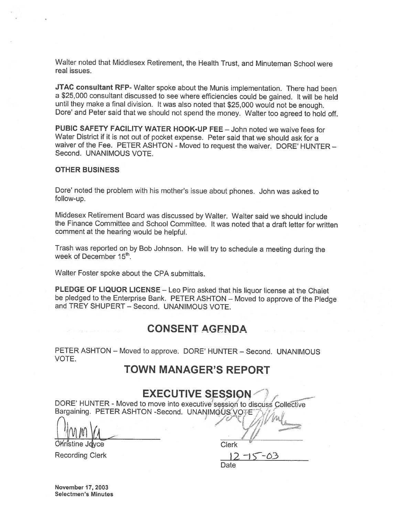Walter noted that Middlesex Retirement, the Health Trust, and Minuteman School were real issues.

JTAC consultant RFP- Walter spoke about the Munis implementation. There had been <sup>a</sup> \$25,000 consultant discussed to see where efficiencies could be gained. It will be held until they make <sup>a</sup> final division. It was also noted that \$25,000 would not be enough. Dore' and Peter said that we should not spend the money. Walter too agreed to hold off.

PUBIC SAFETY FACILITY WATER HOOK-UP FEE — John noted we waive fees for Water District if it is not out of pocket expense. Peter said that we should ask for <sup>a</sup> waiver of the Fee. PETER ASHTON - Moved to request the waiver. DORE' HUNTER — Second. UNANIMOUS VOTE.

#### OTHER BUSINESS

Dore' noted the problem with his mother's issue about <sup>p</sup>hones. John was asked to follow-up.

Middesex Retirement Board was discussed by Walter. Walter said we should include the Finance Committee and School Committee. It was noted that <sup>a</sup> draft letter for written comment at the hearing would be helpful.

Trash was reported on by Bob Johnson. He will try to schedule <sup>a</sup> meeting during the week of December 15<sup>th</sup>.

Walter Foster spoke about the CPA submittals.

PLEDGE OF LIQUOR LICENSE -- Leo Piro asked that his liquor license at the Chalet be <sup>p</sup>ledged to the Enterprise Bank. PETER ASHTON — Moved to approve of the Pledge and TREY SHUPERT — Second. UNANIMOUS VOTE.

### CONSENT AGENDA

PETER ASHTON — Moved to approve. DORE' HUNTER — Second. UNANIMOUS VOTE.

## TOWN MANAGER'S REPORT

## EXECUTIVE SESSION

DORE' HUNTER - Moved to move into executive session to discuss Collective Bargaining. PETER ASHTON -Second. UNANIMOUS VOTE

 $\bigcap_{i=1}^n$  fl.  $l$  1  $l$  1  $l$ 

**Christine Joyce Clerk** Clerk

Recording Clerk 2  $\sqrt{2}$   $\sqrt{5}$ Date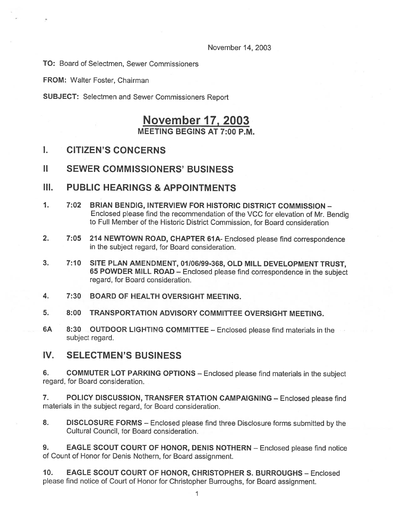November 14, 2003

TO: Board of Selectmen, Sewer Commissioners

FROM: Walter Foster, Chairman

SUBJECT: Selectmen and Sewer Commissioners Report

## November 17, 2003 MEETING BEGINS AT 7:00 P.M.

### I. CITIZEN'S CONCERNS

### II SEWER COMMISSIONERS' BUSINESS

#### III. PUBLIC HEARINGS & APPOINTMENTS

- 1. 7:02 BRIAN BENDIG, INTERVIEW FOR HISTORIC DISTRICT COMMISSION Enclosed <sup>p</sup>lease find the recommendation of the VCC for elevation of Mr. Bendig to Full Member of the Historic District Commission, for Board consideration
- 2. 7:05 214 NEWTOWN ROAD, CHAPTER 61A- Enclosed please find correspondence in the subject regard, for Board consideration.
- 3. 7:10 SITE PLAN AMENDMENT, 01/06/99-368, OLD MILL DEVELOPMENT TRUST, <sup>65</sup> POWDER MILL ROAD — Enclosed <sup>p</sup>lease find correspondence in the subject regard, for Board consideration.
- 4. 7:30 BOARD OF HEALTH OVERSIGHT MEETING.
- 5. 8:00 TRANSPORTATION ADVISORY COMMITTEE OVERSIGHT MEETING.
- 6A 8:30 OUTDOOR LIGHT!NG COMM!TTEE Enclosed <sup>p</sup>lease find materials in the subject regard.

### IV. SELECTMEN'S BUSINESS

6. COMMUTER LOT PARKING OPTIONS - Enclosed please find materials in the subject regard, for Board consideration.

7. POLICY DISCUSSION, TRANSFER STATION CAMPAIGNING — Enclosed <sup>p</sup>lease find materials in the subject regard, for Board consideration.

8. DISCLOSURE FORMS – Enclosed please find three Disclosure forms submitted by the Cultural Council, for Board consideration.

9. EAGLE SCOUT COURT OF HONOR, DENIS NOTHERN - Enclosed please find notice of Count of Honor for Denis Nothern, for Board assignment.

10. EAGLE SCOUT COURT OF HONOR, CHRISTOPHER S. BURROUGHS — Enclosed <sup>p</sup>lease find notice of Court of Honor for Christopher Burroughs, for Board assignment.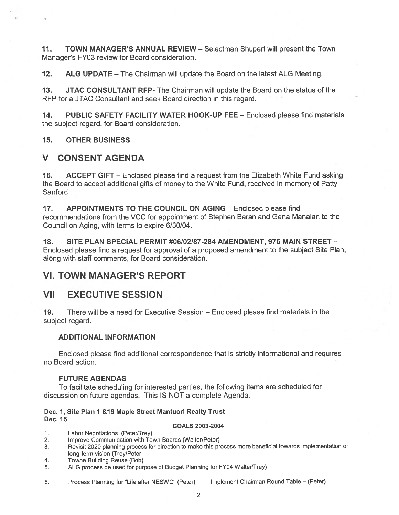11. TOWN MANAGER'S ANNUAL REVIEW - Selectman Shupert will present the Town Manager's FY03 review for Board consideration.

12. ALG UPDATE — The Chairman will update the Board on the latest ALG Meeting.

13. JTAC CONSULTANT REP- The Chairman will update the Board on the status of the RFP for <sup>a</sup> JTAC Consultant and seek Board direction in this regard.

14. PUBLIC SAFETY FACILITY WATER HOOK-UP FEE — Enclosed please find materials the subject regard, for Board consideration.

#### 15. OTHER BUSINESS

### V CONSENT AGENDA

16. ACCEPT GIFT — Enclosed <sup>p</sup>lease find <sup>a</sup> reques<sup>t</sup> from the Elizabeth White Fund asking the Board to accep<sup>t</sup> additional gifts of money to the White Fund, received in memory of Patty Sanford.

17. APPOINTMENTS TO THE COUNCIL ON AGING — Enclosed please find recommendations from the VCC for appointment of Stephen Baran and Gena Manalan to the Council on Aging, with terms to expire 6/30/04.

18. SITE PLAN SPECIAL PERMIT #06102/87-284 AMENDMENT, 976 MAIN STREET — Enclosed please find <sup>a</sup> reques<sup>t</sup> for approval of <sup>a</sup> proposed amendment to the subject Site Plan, along with staff comments, for Board consideration.

### VI. TOWN MANAGER'S REPORT

### VII EXECUTIVE SESSION

19. There will be <sup>a</sup> need for Executive Session — Enclosed please find materials in the subject regard.

#### ADDITIONAL INFORMATION

Enclosed please find additional correspondence that is strictly informational and requires no Board action.

#### FUTURE AGENDAS

To facilitate scheduling for interested parties, the following items are scheduled for discussion on future agendas. This IS NOT <sup>a</sup> complete Agenda.

#### Dec. 1, Site Plan I &19 Maple Street Mantuori Realty Trust Dec. 15

#### GOALS 2003-2004

- 1. Labor Negotiations (Peter/Trey)
- 2. Improve Communication with Town Boards (Walter/Peter)
- 3. Revisit <sup>2020</sup> <sup>p</sup>lanning process for direction to make this process more beneficial towards implementation of long-term vision (Trey/Peter
- 4. Towne Building Reuse (Bob)
- 5. ALG process be used for purpose of Budget Planning for FY04 Walter/Trey)

6. Process Planning for "Life after NESWC" (Peter) Implement Chairman Round Table — (Peter)